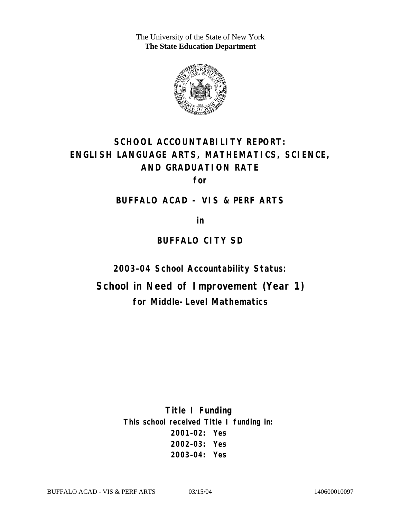The University of the State of New York **The State Education Department** 



# **SCHOOL ACCOUNTABILITY REPORT: ENGLISH LANGUAGE ARTS, MATHEMATICS, SCIENCE, AND GRADUATION RATE**

**for** 

#### **BUFFALO ACAD - VIS & PERF ARTS**

**in** 

# **BUFFALO CITY SD**

**2003–04 School Accountability Status:** 

**School in Need of Improvement (Year 1) for Middle-Level Mathematics**

> **Title I Funding This school received Title I funding in: 2001–02: Yes 2002–03: Yes 2003–04: Yes**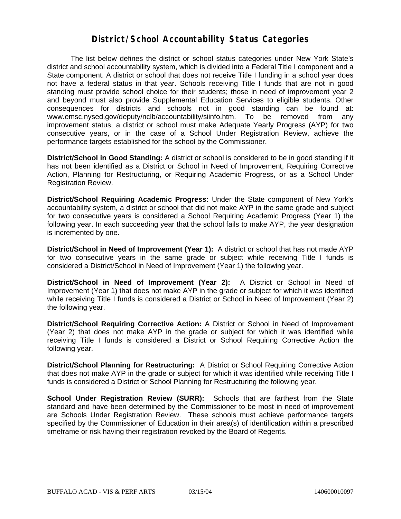#### **District/School Accountability Status Categories**

The list below defines the district or school status categories under New York State's district and school accountability system, which is divided into a Federal Title I component and a State component. A district or school that does not receive Title I funding in a school year does not have a federal status in that year. Schools receiving Title I funds that are not in good standing must provide school choice for their students; those in need of improvement year 2 and beyond must also provide Supplemental Education Services to eligible students. Other consequences for districts and schools not in good standing can be found at: www.emsc.nysed.gov/deputy/nclb/accountability/siinfo.htm. To be removed from any improvement status, a district or school must make Adequate Yearly Progress (AYP) for two consecutive years, or in the case of a School Under Registration Review, achieve the performance targets established for the school by the Commissioner.

**District/School in Good Standing:** A district or school is considered to be in good standing if it has not been identified as a District or School in Need of Improvement, Requiring Corrective Action, Planning for Restructuring, or Requiring Academic Progress, or as a School Under Registration Review.

**District/School Requiring Academic Progress:** Under the State component of New York's accountability system, a district or school that did not make AYP in the same grade and subject for two consecutive years is considered a School Requiring Academic Progress (Year 1) the following year. In each succeeding year that the school fails to make AYP, the year designation is incremented by one.

**District/School in Need of Improvement (Year 1):** A district or school that has not made AYP for two consecutive years in the same grade or subject while receiving Title I funds is considered a District/School in Need of Improvement (Year 1) the following year.

**District/School in Need of Improvement (Year 2):** A District or School in Need of Improvement (Year 1) that does not make AYP in the grade or subject for which it was identified while receiving Title I funds is considered a District or School in Need of Improvement (Year 2) the following year.

**District/School Requiring Corrective Action:** A District or School in Need of Improvement (Year 2) that does not make AYP in the grade or subject for which it was identified while receiving Title I funds is considered a District or School Requiring Corrective Action the following year.

**District/School Planning for Restructuring:** A District or School Requiring Corrective Action that does not make AYP in the grade or subject for which it was identified while receiving Title I funds is considered a District or School Planning for Restructuring the following year.

**School Under Registration Review (SURR):** Schools that are farthest from the State standard and have been determined by the Commissioner to be most in need of improvement are Schools Under Registration Review. These schools must achieve performance targets specified by the Commissioner of Education in their area(s) of identification within a prescribed timeframe or risk having their registration revoked by the Board of Regents.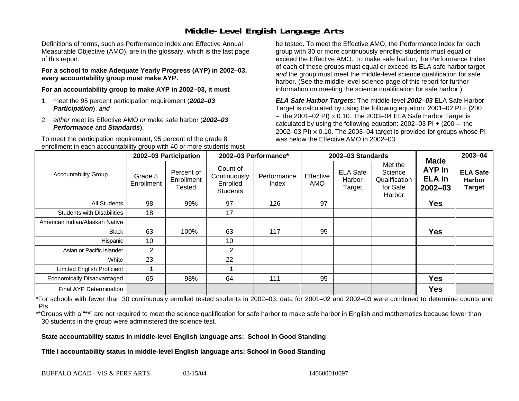## **Middle-Level English Language Arts**

Definitions of terms, such as Performance Index and Effective Annual Measurable Objective (AMO), are in the glossary, which is the last page of this report.

**For a school to make Adequate Yearly Progress (AYP) in 2002–03, every accountability group must make AYP.** 

**For an accountability group to make AYP in 2002–03, it must** 

- 1. meet the 95 percent participation requirement (*2002–03 Participation*), *and*
- 2. *either* meet its Effective AMO *or* make safe harbor (*2002–03 Performance* and *Standards*).

To meet the participation requirement, 95 percent of the grade 8 enrollment in each accountability group with 40 or more students must

be tested. To meet the Effective AMO, the Performance Index for each group with 30 or more continuously enrolled students must equal or exceed the Effective AMO. To make safe harbor, the Performance Index of each of these groups must equal or exceed its ELA safe harbor target *and* the group must meet the middle-level science qualification for safe harbor. (See the middle-level science page of this report for further information on meeting the science qualification for safe harbor.)

*ELA Safe Harbor Targets:* The middle-level *2002–03* ELA Safe Harbor Target is calculated by using the following equation: 2001–02 PI + (200  $-$  the 2001–02 PI)  $\times$  0.10. The 2003–04 ELA Safe Harbor Target is  $\,$ calculated by using the following equation:  $2002-03$  PI +  $(200 -$  the 2002–03 PI)  $\times$  0.10. The 2003–04 target is provided for groups whose PI was below the Effective AMO in 2002–03.

| <b>Accountability Group</b>       | 2002-03 Participation |                                    | 2002-03 Performance*                                    |                      | 2002-03 Standards |                                     |                                                           |                                                       | 2003-04                                    |
|-----------------------------------|-----------------------|------------------------------------|---------------------------------------------------------|----------------------|-------------------|-------------------------------------|-----------------------------------------------------------|-------------------------------------------------------|--------------------------------------------|
|                                   | Grade 8<br>Enrollment | Percent of<br>Enrollment<br>Tested | Count of<br>Continuously<br>Enrolled<br><b>Students</b> | Performance<br>Index | Effective<br>AMO  | <b>ELA Safe</b><br>Harbor<br>Target | Met the<br>Science<br>Qualification<br>for Safe<br>Harbor | Made<br><b>AYP</b> in<br><b>ELA</b> in<br>$2002 - 03$ | <b>ELA Safe</b><br><b>Harbor</b><br>Target |
| All Students                      | 98                    | 99%                                | 97                                                      | 126                  | 97                |                                     |                                                           | <b>Yes</b>                                            |                                            |
| <b>Students with Disabilities</b> | 18                    |                                    | 17                                                      |                      |                   |                                     |                                                           |                                                       |                                            |
| American Indian/Alaskan Native    |                       |                                    |                                                         |                      |                   |                                     |                                                           |                                                       |                                            |
| <b>Black</b>                      | 63                    | 100%                               | 63                                                      | 117                  | 95                |                                     |                                                           | <b>Yes</b>                                            |                                            |
| Hispanic                          | 10                    |                                    | 10                                                      |                      |                   |                                     |                                                           |                                                       |                                            |
| Asian or Pacific Islander         | $\overline{2}$        |                                    | $\overline{2}$                                          |                      |                   |                                     |                                                           |                                                       |                                            |
| White                             | 23                    |                                    | 22                                                      |                      |                   |                                     |                                                           |                                                       |                                            |
| Limited English Proficient        |                       |                                    |                                                         |                      |                   |                                     |                                                           |                                                       |                                            |
| Economically Disadvantaged        | 65                    | 98%                                | 64                                                      | 111                  | 95                |                                     |                                                           | <b>Yes</b>                                            |                                            |
| <b>Final AYP Determination</b>    |                       |                                    |                                                         |                      |                   |                                     |                                                           | <b>Yes</b>                                            |                                            |

\*For schools with fewer than 30 continuously enrolled tested students in 2002–03, data for 2001–02 and 2002–03 were combined to determine counts and PIs.

\*\*Groups with a "\*\*" are not required to meet the science qualification for safe harbor to make safe harbor in English and mathematics because fewer than 30 students in the group were administered the science test.

**State accountability status in middle-level English language arts: School in Good Standing** 

Title I accountability status in middle-level English language arts: School in Good Standing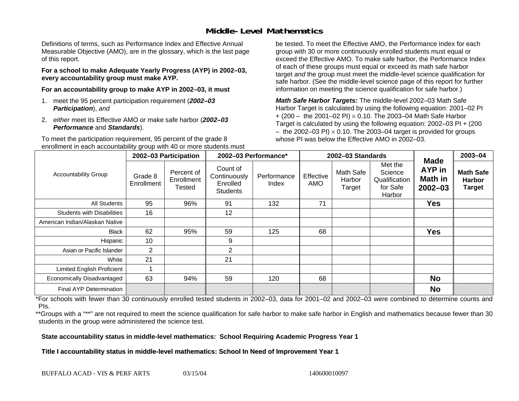### **Middle-Level Mathematics**

Definitions of terms, such as Performance Index and Effective Annual Measurable Objective (AMO), are in the glossary, which is the last page of this report.

**For a school to make Adequate Yearly Progress (AYP) in 2002–03, every accountability group must make AYP.** 

**For an accountability group to make AYP in 2002–03, it must** 

- 1. meet the 95 percent participation requirement (*2002–03 Participation*), *and*
- 2. *either* meet its Effective AMO *or* make safe harbor (*2002–03 Performance* and *Standards*).

To meet the participation requirement, 95 percent of the grade 8 enrollment in each accountability group with 40 or more students must

be tested. To meet the Effective AMO, the Performance Index for each group with 30 or more continuously enrolled students must equal or exceed the Effective AMO. To make safe harbor, the Performance Index of each of these groups must equal or exceed its math safe harbor target *and* the group must meet the middle-level science qualification for safe harbor. (See the middle-level science page of this report for further information on meeting the science qualification for safe harbor.)

*Math Safe Harbor Targets:* The middle-level 2002–03 Math Safe Harbor Target is calculated by using the following equation: 2001–02 PI + (200 – the 2001–02 PI) × 0.10. The 2003–04 Math Safe Harbor Target is calculated by using the following equation: 2002–03 PI + (200  $-$  the 2002–03 PI)  $\times$  0.10. The 2003–04 target is provided for groups whose PI was below the Effective AMO in 2002–03

| <b>Accountability Group</b>       | 2002-03 Participation |                                    | 2002-03 Performance*                                    |                      |                  | 2002-03 Standards             | <b>Made</b>                                               | 2003-04                                 |                                                    |
|-----------------------------------|-----------------------|------------------------------------|---------------------------------------------------------|----------------------|------------------|-------------------------------|-----------------------------------------------------------|-----------------------------------------|----------------------------------------------------|
|                                   | Grade 8<br>Enrollment | Percent of<br>Enrollment<br>Tested | Count of<br>Continuously<br>Enrolled<br><b>Students</b> | Performance<br>Index | Effective<br>AMO | Math Safe<br>Harbor<br>Target | Met the<br>Science<br>Qualification<br>for Safe<br>Harbor | AYP in<br><b>Math in</b><br>$2002 - 03$ | <b>Math Safe</b><br><b>Harbor</b><br><b>Target</b> |
| <b>All Students</b>               | 95                    | 96%                                | 91                                                      | 132                  | 71               |                               |                                                           | <b>Yes</b>                              |                                                    |
| <b>Students with Disabilities</b> | 16                    |                                    | 12                                                      |                      |                  |                               |                                                           |                                         |                                                    |
| American Indian/Alaskan Native    |                       |                                    |                                                         |                      |                  |                               |                                                           |                                         |                                                    |
| <b>Black</b>                      | 62                    | 95%                                | 59                                                      | 125                  | 68               |                               |                                                           | <b>Yes</b>                              |                                                    |
| Hispanic                          | 10                    |                                    | 9                                                       |                      |                  |                               |                                                           |                                         |                                                    |
| Asian or Pacific Islander         | $\overline{2}$        |                                    | $\overline{2}$                                          |                      |                  |                               |                                                           |                                         |                                                    |
| White                             | 21                    |                                    | 21                                                      |                      |                  |                               |                                                           |                                         |                                                    |
| <b>Limited English Proficient</b> |                       |                                    |                                                         |                      |                  |                               |                                                           |                                         |                                                    |
| Economically Disadvantaged        | 63                    | 94%                                | 59                                                      | 120                  | 68               |                               |                                                           | <b>No</b>                               |                                                    |
| <b>Final AYP Determination</b>    |                       |                                    |                                                         |                      |                  |                               |                                                           | <b>No</b>                               |                                                    |

\*For schools with fewer than 30 continuously enrolled tested students in 2002–03, data for 2001–02 and 2002–03 were combined to determine counts and PIs.

\*\*Groups with a "\*\*" are not required to meet the science qualification for safe harbor to make safe harbor in English and mathematics because fewer than 30 students in the group were administered the science test.

**State accountability status in middle-level mathematics: School Requiring Academic Progress Year 1** 

Title I accountability status in middle-level mathematics: School In Need of Improvement Year 1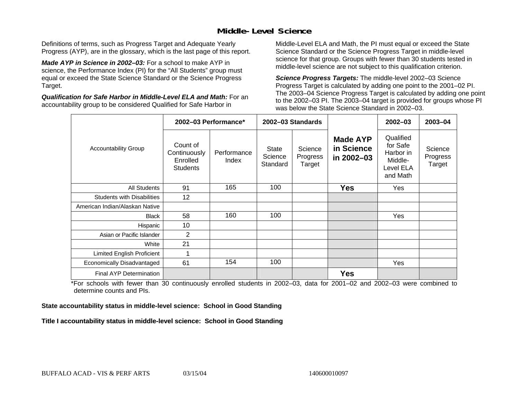### **Middle-Level Science**

Definitions of terms, such as Progress Target and Adequate Yearly Progress (AYP), are in the glossary, which is the last page of this report.

*Made AYP in Science in 2002–03:* For a school to make AYP in science, the Performance Index (PI) for the "All Students" group must equal or exceed the State Science Standard or the Science Progress Target.

*Qualification for Safe Harbor in Middle-Level ELA and Math:* For an accountability group to be considered Qualified for Safe Harbor in

Middle-Level ELA and Math, the PI must equal or exceed the State Science Standard or the Science Progress Target in middle-level science for that group. Groups with fewer than 30 students tested in middle-level science are not subject to this qualification criterion.

*Science Progress Targets:* The middle-level 2002–03 Science Progress Target is calculated by adding one point to the 2001–02 PI. The 2003–04 Science Progress Target is calculated by adding one point to the 2002–03 PI. The 2003–04 target is provided for groups whose PI was below the State Science Standard in 2002–03.

|                                   |                                                         | 2002-03 Performance* |                              | 2002-03 Standards             |                                             | $2002 - 03$                                                            | $2003 - 04$                   |
|-----------------------------------|---------------------------------------------------------|----------------------|------------------------------|-------------------------------|---------------------------------------------|------------------------------------------------------------------------|-------------------------------|
| <b>Accountability Group</b>       | Count of<br>Continuously<br>Enrolled<br><b>Students</b> | Performance<br>Index | State<br>Science<br>Standard | Science<br>Progress<br>Target | <b>Made AYP</b><br>in Science<br>in 2002-03 | Qualified<br>for Safe<br>Harbor in<br>Middle-<br>Level ELA<br>and Math | Science<br>Progress<br>Target |
| <b>All Students</b>               | 91                                                      | 165                  | 100                          |                               | <b>Yes</b>                                  | Yes                                                                    |                               |
| <b>Students with Disabilities</b> | 12                                                      |                      |                              |                               |                                             |                                                                        |                               |
| American Indian/Alaskan Native    |                                                         |                      |                              |                               |                                             |                                                                        |                               |
| <b>Black</b>                      | 58                                                      | 160                  | 100                          |                               |                                             | Yes                                                                    |                               |
| Hispanic                          | 10                                                      |                      |                              |                               |                                             |                                                                        |                               |
| Asian or Pacific Islander         | 2                                                       |                      |                              |                               |                                             |                                                                        |                               |
| White                             | 21                                                      |                      |                              |                               |                                             |                                                                        |                               |
| Limited English Proficient        |                                                         |                      |                              |                               |                                             |                                                                        |                               |
| Economically Disadvantaged        | 61                                                      | 154                  | 100                          |                               |                                             | Yes                                                                    |                               |
| Final AYP Determination           |                                                         |                      |                              |                               | <b>Yes</b>                                  |                                                                        |                               |

\*For schools with fewer than 30 continuously enrolled students in 2002–03, data for 2001–02 and 2002–03 were combined to determine counts and PIs.

**State accountability status in middle-level science: School in Good Standing** 

Title I accountability status in middle-level science: School in Good Standing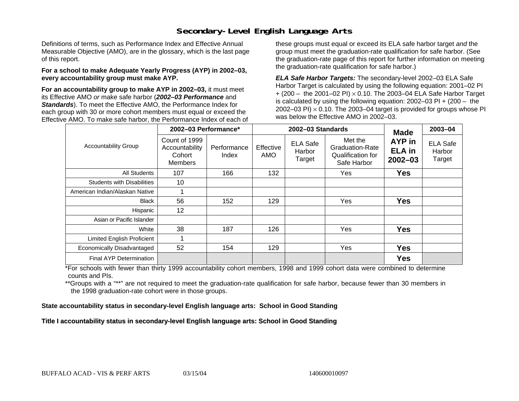### **Secondary-Level English Language Arts**

Definitions of terms, such as Performance Index and Effective Annual Measurable Objective (AMO), are in the glossary, which is the last page of this report.

#### **For a school to make Adequate Yearly Progress (AYP) in 2002–03, every accountability group must make AYP.**

**For an accountability group to make AYP in 2002–03,** it must meet its Effective AMO *or* make safe harbor (*2002–03 Performance* and *Standards*). To meet the Effective AMO, the Performance Index for each group with 30 or more cohort members must equal or exceed the Effective AMO. To make safe harbor, the Performance Index of each of these groups must equal or exceed its ELA safe harbor target *and* the group must meet the graduation-rate qualification for safe harbor. (See the graduation-rate page of this report for further information on meeting the graduation-rate qualification for safe harbor.)

*ELA Safe Harbor Targets:* The secondary-level 2002–03 ELA Safe Harbor Target is calculated by using the following equation: 2001–02 PI + (200 – the 2001–02 PI) <sup>×</sup> 0.10. The 2003–04 ELA Safe Harbor Target is calculated by using the following equation: 2002–03 PI + (200 – the 2002–03 PI)  $\times$  0.10. The 2003–04 target is provided for groups whose PI was below the Effective AMO in 2002–03.

|                                   | 2002-03 Performance*                                 |                      |                  | 2002-03 Standards                   | <b>Made</b>                                                           | 2003-04                                |                                     |
|-----------------------------------|------------------------------------------------------|----------------------|------------------|-------------------------------------|-----------------------------------------------------------------------|----------------------------------------|-------------------------------------|
| <b>Accountability Group</b>       | Count of 1999<br>Accountability<br>Cohort<br>Members | Performance<br>Index | Effective<br>AMO | <b>ELA Safe</b><br>Harbor<br>Target | Met the<br><b>Graduation-Rate</b><br>Qualification for<br>Safe Harbor | AYP in<br><b>ELA</b> in<br>$2002 - 03$ | <b>ELA Safe</b><br>Harbor<br>Target |
| All Students                      | 107                                                  | 166                  | 132              |                                     | Yes                                                                   | <b>Yes</b>                             |                                     |
| <b>Students with Disabilities</b> | 10                                                   |                      |                  |                                     |                                                                       |                                        |                                     |
| American Indian/Alaskan Native    |                                                      |                      |                  |                                     |                                                                       |                                        |                                     |
| <b>Black</b>                      | 56                                                   | 152                  | 129              |                                     | Yes                                                                   | <b>Yes</b>                             |                                     |
| Hispanic                          | 12                                                   |                      |                  |                                     |                                                                       |                                        |                                     |
| Asian or Pacific Islander         |                                                      |                      |                  |                                     |                                                                       |                                        |                                     |
| White                             | 38                                                   | 187                  | 126              |                                     | Yes                                                                   | <b>Yes</b>                             |                                     |
| Limited English Proficient        |                                                      |                      |                  |                                     |                                                                       |                                        |                                     |
| Economically Disadvantaged        | 52                                                   | 154                  | 129              |                                     | Yes                                                                   | <b>Yes</b>                             |                                     |
| Final AYP Determination           |                                                      |                      |                  |                                     |                                                                       | <b>Yes</b>                             |                                     |

\*For schools with fewer than thirty 1999 accountability cohort members, 1998 and 1999 cohort data were combined to determine counts and PIs.

\*\*Groups with a "\*\*" are not required to meet the graduation-rate qualification for safe harbor, because fewer than 30 members in the 1998 graduation-rate cohort were in those groups.

**State accountability status in secondary-level English language arts: School in Good Standing** 

Title I accountability status in secondary-level English language arts: School in Good Standing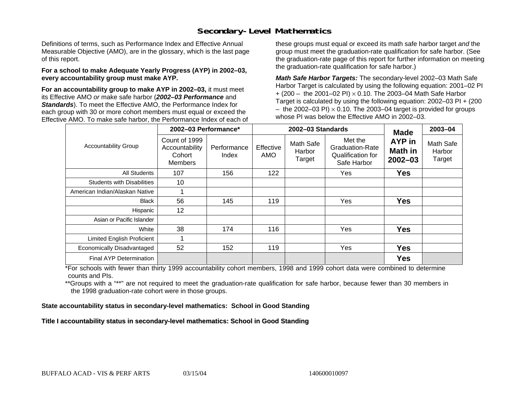### **Secondary-Level Mathematics**

Definitions of terms, such as Performance Index and Effective Annual Measurable Objective (AMO), are in the glossary, which is the last page of this report.

#### **For a school to make Adequate Yearly Progress (AYP) in 2002–03, every accountability group must make AYP.**

**For an accountability group to make AYP in 2002–03,** it must meet its Effective AMO *or* make safe harbor (*2002–03 Performance* and *Standards*). To meet the Effective AMO, the Performance Index for each group with 30 or more cohort members must equal or exceed the Effective AMO. To make safe harbor, the Performance Index of each of these groups must equal or exceed its math safe harbor target *and* the group must meet the graduation-rate qualification for safe harbor. (See the graduation-rate page of this report for further information on meeting the graduation-rate qualification for safe harbor.)

*Math Safe Harbor Targets:* The secondary-level 2002–03 Math Safe Harbor Target is calculated by using the following equation: 2001–02 PI + (200 – the 2001–02 PI) × 0.10. The 2003–04 Math Safe Harbor Target is calculated by using the following equation: 2002–03 PI + (200  $-$  the 2002–03 PI)  $\times$  0.10. The 2003–04 target is provided for groups whose PI was below the Effective AMO in 2002–03.

|                                   | 2002-03 Performance*                                        |                      |                  | 2002-03 Standards             | <b>Made</b>                                                           | 2003-04                                 |                               |
|-----------------------------------|-------------------------------------------------------------|----------------------|------------------|-------------------------------|-----------------------------------------------------------------------|-----------------------------------------|-------------------------------|
| <b>Accountability Group</b>       | Count of 1999<br>Accountability<br>Cohort<br><b>Members</b> | Performance<br>Index | Effective<br>AMO | Math Safe<br>Harbor<br>Target | Met the<br><b>Graduation-Rate</b><br>Qualification for<br>Safe Harbor | AYP in<br><b>Math in</b><br>$2002 - 03$ | Math Safe<br>Harbor<br>Target |
| <b>All Students</b>               | 107                                                         | 156                  | 122              |                               | Yes                                                                   | <b>Yes</b>                              |                               |
| <b>Students with Disabilities</b> | 10                                                          |                      |                  |                               |                                                                       |                                         |                               |
| American Indian/Alaskan Native    |                                                             |                      |                  |                               |                                                                       |                                         |                               |
| <b>Black</b>                      | 56                                                          | 145                  | 119              |                               | Yes                                                                   | <b>Yes</b>                              |                               |
| Hispanic                          | 12                                                          |                      |                  |                               |                                                                       |                                         |                               |
| Asian or Pacific Islander         |                                                             |                      |                  |                               |                                                                       |                                         |                               |
| White                             | 38                                                          | 174                  | 116              |                               | Yes                                                                   | <b>Yes</b>                              |                               |
| Limited English Proficient        |                                                             |                      |                  |                               |                                                                       |                                         |                               |
| Economically Disadvantaged        | 52                                                          | 152                  | 119              |                               | Yes                                                                   | <b>Yes</b>                              |                               |
| <b>Final AYP Determination</b>    |                                                             |                      |                  |                               |                                                                       | <b>Yes</b>                              |                               |

\*For schools with fewer than thirty 1999 accountability cohort members, 1998 and 1999 cohort data were combined to determine counts and PIs.

\*\*Groups with a "\*\*" are not required to meet the graduation-rate qualification for safe harbor, because fewer than 30 members in the 1998 graduation-rate cohort were in those groups.

**State accountability status in secondary-level mathematics: School in Good Standing** 

Title I accountability status in secondary-level mathematics: School in Good Standing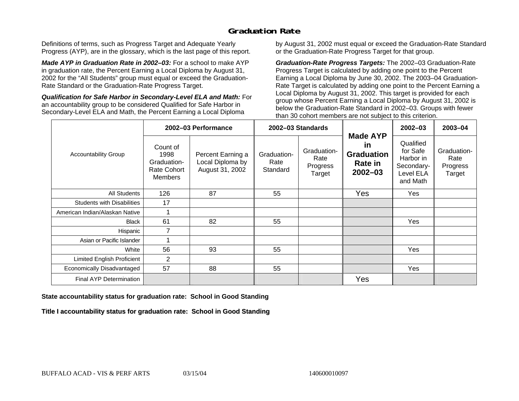## **Graduation Rate**

Definitions of terms, such as Progress Target and Adequate Yearly Progress (AYP), are in the glossary, which is the last page of this report.

*Made AYP in Graduation Rate in 2002–03:* For a school to make AYP in graduation rate, the Percent Earning a Local Diploma by August 31, 2002 for the "All Students" group must equal or exceed the Graduation-Rate Standard or the Graduation-Rate Progress Target.

*Qualification for Safe Harbor in Secondary-Level ELA and Math:* For an accountability group to be considered Qualified for Safe Harbor in Secondary-Level ELA and Math, the Percent Earning a Local Diploma

by August 31, 2002 must equal or exceed the Graduation-Rate Standard or the Graduation-Rate Progress Target for that group.

*Graduation-Rate Progress Targets:* The 2002–03 Graduation-Rate Progress Target is calculated by adding one point to the Percent Earning a Local Diploma by June 30, 2002. The 2003–04 Graduation-Rate Target is calculated by adding one point to the Percent Earning a Local Diploma by August 31, 2002. This target is provided for each group whose Percent Earning a Local Diploma by August 31, 2002 is below the Graduation-Rate Standard in 2002–03. Groups with fewer than 30 cohort members are not subject to this criterion.

|                                   |                                                                         | 2002-03 Performance                                      |                                 | 2002-03 Standards                         |                                                                             | $2002 - 03$                                                               | 2003-04                                   |
|-----------------------------------|-------------------------------------------------------------------------|----------------------------------------------------------|---------------------------------|-------------------------------------------|-----------------------------------------------------------------------------|---------------------------------------------------------------------------|-------------------------------------------|
| <b>Accountability Group</b>       | Count of<br>1998<br>Graduation-<br><b>Rate Cohort</b><br><b>Members</b> | Percent Earning a<br>Local Diploma by<br>August 31, 2002 | Graduation-<br>Rate<br>Standard | Graduation-<br>Rate<br>Progress<br>Target | <b>Made AYP</b><br>in<br><b>Graduation</b><br><b>Rate in</b><br>$2002 - 03$ | Qualified<br>for Safe<br>Harbor in<br>Secondary-<br>Level ELA<br>and Math | Graduation-<br>Rate<br>Progress<br>Target |
| All Students                      | 126                                                                     | 87                                                       | 55                              |                                           | Yes                                                                         | Yes                                                                       |                                           |
| <b>Students with Disabilities</b> | 17                                                                      |                                                          |                                 |                                           |                                                                             |                                                                           |                                           |
| American Indian/Alaskan Native    |                                                                         |                                                          |                                 |                                           |                                                                             |                                                                           |                                           |
| <b>Black</b>                      | 61                                                                      | 82                                                       | 55                              |                                           |                                                                             | Yes                                                                       |                                           |
| Hispanic                          | $\overline{7}$                                                          |                                                          |                                 |                                           |                                                                             |                                                                           |                                           |
| Asian or Pacific Islander         |                                                                         |                                                          |                                 |                                           |                                                                             |                                                                           |                                           |
| White                             | 56                                                                      | 93                                                       | 55                              |                                           |                                                                             | Yes                                                                       |                                           |
| Limited English Proficient        | $\overline{2}$                                                          |                                                          |                                 |                                           |                                                                             |                                                                           |                                           |
| Economically Disadvantaged        | 57                                                                      | 88                                                       | 55                              |                                           |                                                                             | Yes                                                                       |                                           |
| <b>Final AYP Determination</b>    |                                                                         |                                                          |                                 |                                           | Yes                                                                         |                                                                           |                                           |

#### **State accountability status for graduation rate: School in Good Standing**

Title I accountability status for graduation rate: School in Good Standing